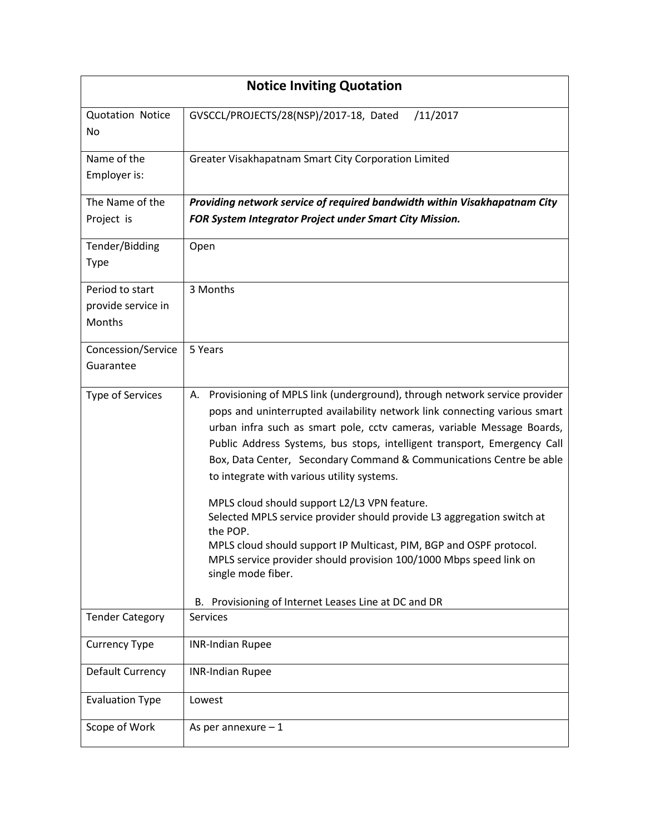| <b>Notice Inviting Quotation</b> |                                                                                                                                                                                                                                                                                                                                                                                                                                                                                                                                                                                                                                                                                                                                                                                                       |  |  |  |  |
|----------------------------------|-------------------------------------------------------------------------------------------------------------------------------------------------------------------------------------------------------------------------------------------------------------------------------------------------------------------------------------------------------------------------------------------------------------------------------------------------------------------------------------------------------------------------------------------------------------------------------------------------------------------------------------------------------------------------------------------------------------------------------------------------------------------------------------------------------|--|--|--|--|
| <b>Quotation Notice</b><br>No    | GVSCCL/PROJECTS/28(NSP)/2017-18, Dated<br>/11/2017                                                                                                                                                                                                                                                                                                                                                                                                                                                                                                                                                                                                                                                                                                                                                    |  |  |  |  |
| Name of the<br>Employer is:      | Greater Visakhapatnam Smart City Corporation Limited                                                                                                                                                                                                                                                                                                                                                                                                                                                                                                                                                                                                                                                                                                                                                  |  |  |  |  |
| The Name of the                  | Providing network service of required bandwidth within Visakhapatnam City                                                                                                                                                                                                                                                                                                                                                                                                                                                                                                                                                                                                                                                                                                                             |  |  |  |  |
| Project is                       | FOR System Integrator Project under Smart City Mission.                                                                                                                                                                                                                                                                                                                                                                                                                                                                                                                                                                                                                                                                                                                                               |  |  |  |  |
| Tender/Bidding<br><b>Type</b>    | Open                                                                                                                                                                                                                                                                                                                                                                                                                                                                                                                                                                                                                                                                                                                                                                                                  |  |  |  |  |
| Period to start                  | 3 Months                                                                                                                                                                                                                                                                                                                                                                                                                                                                                                                                                                                                                                                                                                                                                                                              |  |  |  |  |
| provide service in               |                                                                                                                                                                                                                                                                                                                                                                                                                                                                                                                                                                                                                                                                                                                                                                                                       |  |  |  |  |
| Months                           |                                                                                                                                                                                                                                                                                                                                                                                                                                                                                                                                                                                                                                                                                                                                                                                                       |  |  |  |  |
| Concession/Service               | 5 Years                                                                                                                                                                                                                                                                                                                                                                                                                                                                                                                                                                                                                                                                                                                                                                                               |  |  |  |  |
| Guarantee                        |                                                                                                                                                                                                                                                                                                                                                                                                                                                                                                                                                                                                                                                                                                                                                                                                       |  |  |  |  |
| Type of Services                 | A. Provisioning of MPLS link (underground), through network service provider<br>pops and uninterrupted availability network link connecting various smart<br>urban infra such as smart pole, cctv cameras, variable Message Boards,<br>Public Address Systems, bus stops, intelligent transport, Emergency Call<br>Box, Data Center, Secondary Command & Communications Centre be able<br>to integrate with various utility systems.<br>MPLS cloud should support L2/L3 VPN feature.<br>Selected MPLS service provider should provide L3 aggregation switch at<br>the POP.<br>MPLS cloud should support IP Multicast, PIM, BGP and OSPF protocol.<br>MPLS service provider should provision 100/1000 Mbps speed link on<br>single mode fiber.<br>B. Provisioning of Internet Leases Line at DC and DR |  |  |  |  |
| <b>Tender Category</b>           | <b>Services</b>                                                                                                                                                                                                                                                                                                                                                                                                                                                                                                                                                                                                                                                                                                                                                                                       |  |  |  |  |
| <b>Currency Type</b>             | <b>INR-Indian Rupee</b>                                                                                                                                                                                                                                                                                                                                                                                                                                                                                                                                                                                                                                                                                                                                                                               |  |  |  |  |
| <b>Default Currency</b>          | <b>INR-Indian Rupee</b>                                                                                                                                                                                                                                                                                                                                                                                                                                                                                                                                                                                                                                                                                                                                                                               |  |  |  |  |
| <b>Evaluation Type</b>           | Lowest                                                                                                                                                                                                                                                                                                                                                                                                                                                                                                                                                                                                                                                                                                                                                                                                |  |  |  |  |
| Scope of Work                    | As per annexure $-1$                                                                                                                                                                                                                                                                                                                                                                                                                                                                                                                                                                                                                                                                                                                                                                                  |  |  |  |  |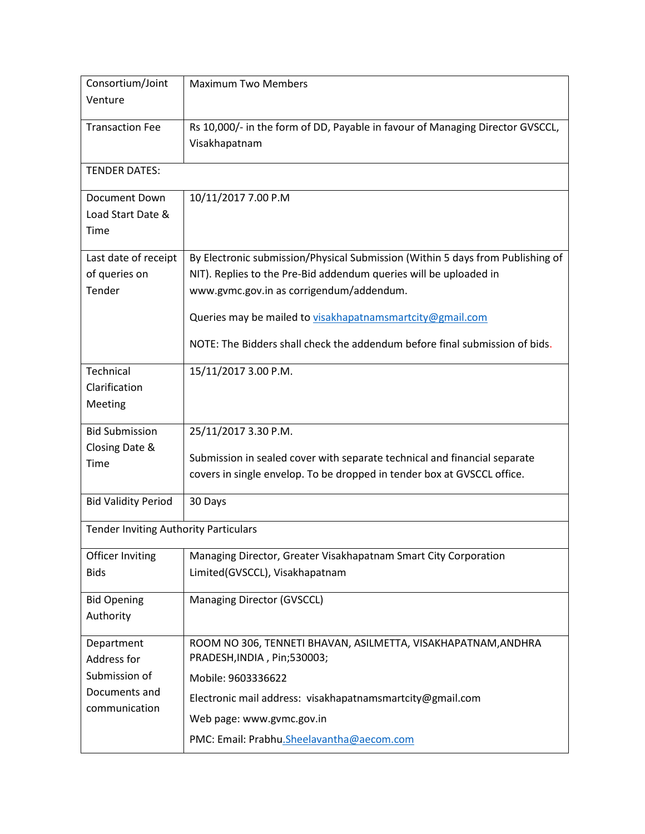| Consortium/Joint                             | <b>Maximum Two Members</b>                                                                                    |  |  |  |
|----------------------------------------------|---------------------------------------------------------------------------------------------------------------|--|--|--|
| Venture                                      |                                                                                                               |  |  |  |
| <b>Transaction Fee</b>                       | Rs 10,000/- in the form of DD, Payable in favour of Managing Director GVSCCL,                                 |  |  |  |
|                                              | Visakhapatnam                                                                                                 |  |  |  |
| <b>TENDER DATES:</b>                         |                                                                                                               |  |  |  |
| Document Down                                | 10/11/2017 7.00 P.M                                                                                           |  |  |  |
| Load Start Date &<br>Time                    |                                                                                                               |  |  |  |
|                                              |                                                                                                               |  |  |  |
| Last date of receipt                         | By Electronic submission/Physical Submission (Within 5 days from Publishing of                                |  |  |  |
| of queries on<br>Tender                      | NIT). Replies to the Pre-Bid addendum queries will be uploaded in<br>www.gvmc.gov.in as corrigendum/addendum. |  |  |  |
|                                              |                                                                                                               |  |  |  |
|                                              | Queries may be mailed to visakhapatnamsmartcity@gmail.com                                                     |  |  |  |
|                                              | NOTE: The Bidders shall check the addendum before final submission of bids.                                   |  |  |  |
| Technical                                    | 15/11/2017 3.00 P.M.                                                                                          |  |  |  |
| Clarification                                |                                                                                                               |  |  |  |
| Meeting                                      |                                                                                                               |  |  |  |
| <b>Bid Submission</b>                        | 25/11/2017 3.30 P.M.                                                                                          |  |  |  |
| Closing Date &<br>Time                       | Submission in sealed cover with separate technical and financial separate                                     |  |  |  |
|                                              | covers in single envelop. To be dropped in tender box at GVSCCL office.                                       |  |  |  |
| <b>Bid Validity Period</b>                   | 30 Days                                                                                                       |  |  |  |
| <b>Tender Inviting Authority Particulars</b> |                                                                                                               |  |  |  |
| Officer Inviting                             | Managing Director, Greater Visakhapatnam Smart City Corporation                                               |  |  |  |
| <b>Bids</b>                                  | Limited(GVSCCL), Visakhapatnam                                                                                |  |  |  |
| <b>Bid Opening</b>                           | Managing Director (GVSCCL)                                                                                    |  |  |  |
| Authority                                    |                                                                                                               |  |  |  |
| Department<br>Address for                    | ROOM NO 306, TENNETI BHAVAN, ASILMETTA, VISAKHAPATNAM, ANDHRA<br>PRADESH, INDIA, Pin; 530003;                 |  |  |  |
| Submission of                                | Mobile: 9603336622                                                                                            |  |  |  |
| Documents and                                | Electronic mail address: visakhapatnamsmartcity@gmail.com                                                     |  |  |  |
| communication                                | Web page: www.gvmc.gov.in                                                                                     |  |  |  |
|                                              |                                                                                                               |  |  |  |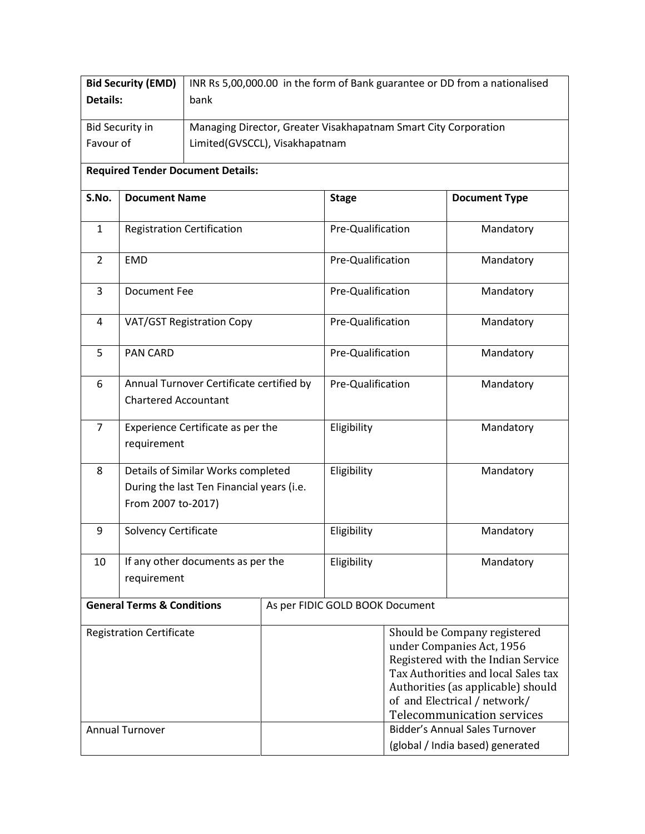|                                                                                                            | <b>Bid Security (EMD)</b><br>INR Rs 5,00,000.00 in the form of Bank guarantee or DD from a nationalised |                                          |             |                                 |                                                                                                                                                                                                                                            |                      |
|------------------------------------------------------------------------------------------------------------|---------------------------------------------------------------------------------------------------------|------------------------------------------|-------------|---------------------------------|--------------------------------------------------------------------------------------------------------------------------------------------------------------------------------------------------------------------------------------------|----------------------|
|                                                                                                            | <b>Details:</b><br>bank                                                                                 |                                          |             |                                 |                                                                                                                                                                                                                                            |                      |
| <b>Bid Security in</b><br>Managing Director, Greater Visakhapatnam Smart City Corporation                  |                                                                                                         |                                          |             |                                 |                                                                                                                                                                                                                                            |                      |
| Favour of<br>Limited(GVSCCL), Visakhapatnam                                                                |                                                                                                         |                                          |             |                                 |                                                                                                                                                                                                                                            |                      |
|                                                                                                            |                                                                                                         | <b>Required Tender Document Details:</b> |             |                                 |                                                                                                                                                                                                                                            |                      |
| S.No.                                                                                                      | <b>Document Name</b>                                                                                    |                                          |             | <b>Stage</b>                    |                                                                                                                                                                                                                                            | <b>Document Type</b> |
| $\mathbf{1}$                                                                                               | <b>Registration Certification</b>                                                                       |                                          |             | Pre-Qualification               |                                                                                                                                                                                                                                            | Mandatory            |
| $\overline{2}$                                                                                             | <b>EMD</b>                                                                                              |                                          |             | Pre-Qualification               |                                                                                                                                                                                                                                            | Mandatory            |
| 3                                                                                                          | <b>Document Fee</b>                                                                                     |                                          |             | Pre-Qualification               |                                                                                                                                                                                                                                            | Mandatory            |
| 4                                                                                                          |                                                                                                         | VAT/GST Registration Copy                |             | Pre-Qualification               |                                                                                                                                                                                                                                            | Mandatory            |
| 5                                                                                                          | <b>PAN CARD</b>                                                                                         |                                          |             | Pre-Qualification               |                                                                                                                                                                                                                                            | Mandatory            |
| 6                                                                                                          |                                                                                                         | Annual Turnover Certificate certified by |             | Pre-Qualification               |                                                                                                                                                                                                                                            | Mandatory            |
|                                                                                                            | <b>Chartered Accountant</b>                                                                             |                                          |             |                                 |                                                                                                                                                                                                                                            |                      |
| $\overline{7}$<br>Experience Certificate as per the<br>requirement                                         |                                                                                                         |                                          | Eligibility |                                 | Mandatory                                                                                                                                                                                                                                  |                      |
| Details of Similar Works completed<br>8<br>During the last Ten Financial years (i.e.<br>From 2007 to-2017) |                                                                                                         |                                          | Eligibility |                                 | Mandatory                                                                                                                                                                                                                                  |                      |
| 9                                                                                                          | <b>Solvency Certificate</b>                                                                             |                                          |             | Eligibility                     |                                                                                                                                                                                                                                            | Mandatory            |
| 10                                                                                                         | If any other documents as per the<br>requirement                                                        |                                          |             | Eligibility                     |                                                                                                                                                                                                                                            | Mandatory            |
| <b>General Terms &amp; Conditions</b>                                                                      |                                                                                                         |                                          |             | As per FIDIC GOLD BOOK Document |                                                                                                                                                                                                                                            |                      |
| <b>Registration Certificate</b>                                                                            |                                                                                                         |                                          |             |                                 | Should be Company registered<br>under Companies Act, 1956<br>Registered with the Indian Service<br>Tax Authorities and local Sales tax<br>Authorities (as applicable) should<br>of and Electrical / network/<br>Telecommunication services |                      |
| <b>Annual Turnover</b>                                                                                     |                                                                                                         |                                          |             |                                 | <b>Bidder's Annual Sales Turnover</b><br>(global / India based) generated                                                                                                                                                                  |                      |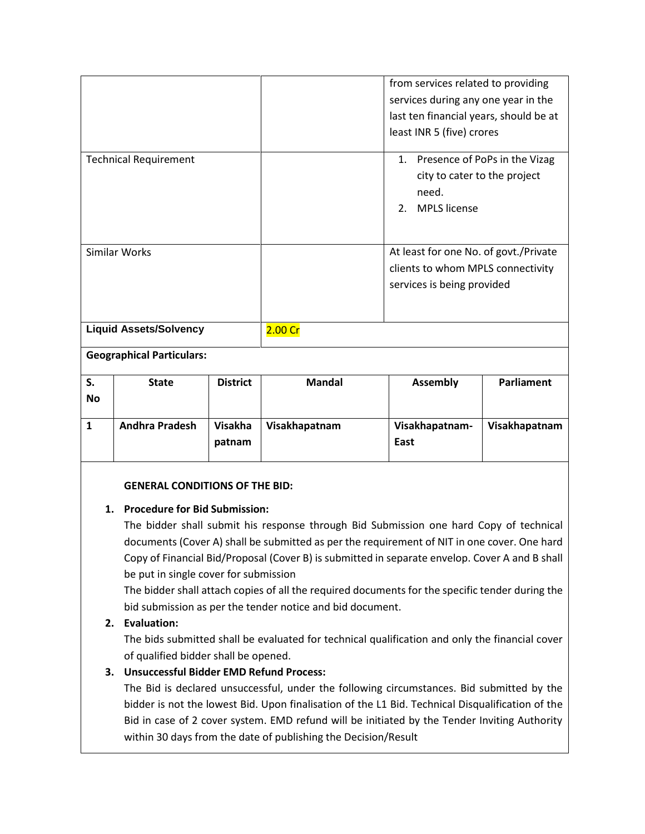|                              |                                  |                 |                                                                                                          | from services related to providing<br>services during any one year in the<br>last ten financial years, should be at<br>least INR 5 (five) crores |                   |
|------------------------------|----------------------------------|-----------------|----------------------------------------------------------------------------------------------------------|--------------------------------------------------------------------------------------------------------------------------------------------------|-------------------|
| <b>Technical Requirement</b> |                                  |                 |                                                                                                          | 1. Presence of PoPs in the Vizag<br>city to cater to the project<br>need.<br><b>MPLS</b> license<br>2.                                           |                   |
| Similar Works                |                                  |                 | At least for one No. of govt./Private<br>clients to whom MPLS connectivity<br>services is being provided |                                                                                                                                                  |                   |
|                              | <b>Liquid Assets/Solvency</b>    |                 | 2.00 Cr                                                                                                  |                                                                                                                                                  |                   |
|                              | <b>Geographical Particulars:</b> |                 |                                                                                                          |                                                                                                                                                  |                   |
| S.                           | <b>State</b>                     | <b>District</b> | <b>Mandal</b>                                                                                            | <b>Assembly</b>                                                                                                                                  | <b>Parliament</b> |

| --        | -----                 | -------           |               | .                      | .             |
|-----------|-----------------------|-------------------|---------------|------------------------|---------------|
| <b>No</b> |                       |                   |               |                        |               |
|           | <b>Andhra Pradesh</b> | Visakha<br>patnam | Visakhapatnam | Visakhapatnam-<br>East | Visakhapatnam |
|           |                       |                   |               |                        |               |

#### **GENERAL CONDITIONS OF THE BID:**

#### **1. Procedure for Bid Submission:**

The bidder shall submit his response through Bid Submission one hard Copy of technical documents (Cover A) shall be submitted as per the requirement of NIT in one cover. One hard Copy of Financial Bid/Proposal (Cover B) is submitted in separate envelop. Cover A and B shall be put in single cover for submission

The bidder shall attach copies of all the required documents for the specific tender during the bid submission as per the tender notice and bid document.

## **2. Evaluation:**

The bids submitted shall be evaluated for technical qualification and only the financial cover of qualified bidder shall be opened.

## **3. Unsuccessful Bidder EMD Refund Process:**

The Bid is declared unsuccessful, under the following circumstances. Bid submitted by the bidder is not the lowest Bid. Upon finalisation of the L1 Bid. Technical Disqualification of the Bid in case of 2 cover system. EMD refund will be initiated by the Tender Inviting Authority within 30 days from the date of publishing the Decision/Result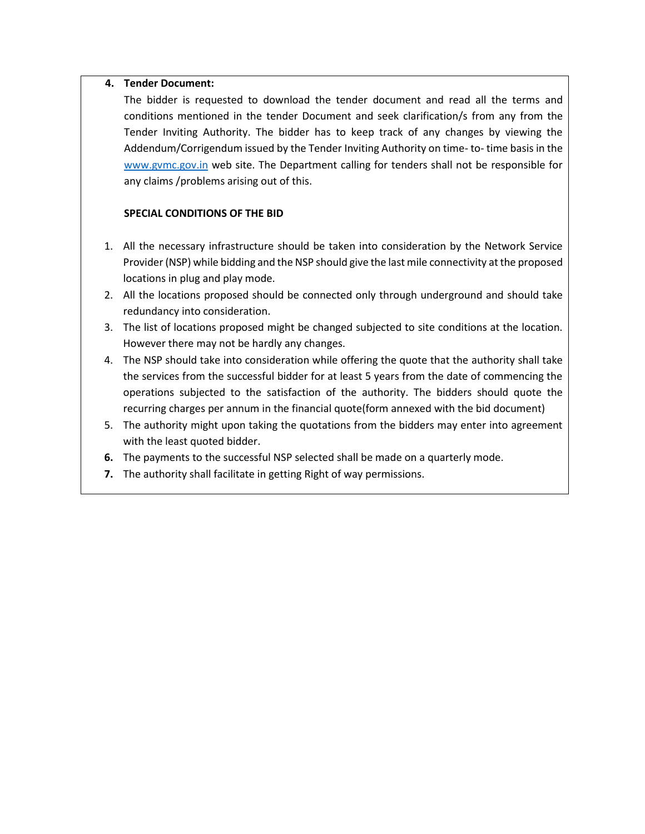#### **4. Tender Document:**

The bidder is requested to download the tender document and read all the terms and conditions mentioned in the tender Document and seek clarification/s from any from the Tender Inviting Authority. The bidder has to keep track of any changes by viewing the Addendum/Corrigendum issued by the Tender Inviting Authority on time- to- time basis in the [www.gvmc.gov.in](http://www.gvmc.gov.in/) web site. The Department calling for tenders shall not be responsible for any claims /problems arising out of this.

#### **SPECIAL CONDITIONS OF THE BID**

- 1. All the necessary infrastructure should be taken into consideration by the Network Service Provider (NSP) while bidding and the NSP should give the last mile connectivity at the proposed locations in plug and play mode.
- 2. All the locations proposed should be connected only through underground and should take redundancy into consideration.
- 3. The list of locations proposed might be changed subjected to site conditions at the location. However there may not be hardly any changes.
- 4. The NSP should take into consideration while offering the quote that the authority shall take the services from the successful bidder for at least 5 years from the date of commencing the operations subjected to the satisfaction of the authority. The bidders should quote the recurring charges per annum in the financial quote(form annexed with the bid document)
- 5. The authority might upon taking the quotations from the bidders may enter into agreement with the least quoted bidder.
- **6.** The payments to the successful NSP selected shall be made on a quarterly mode.
- **7.** The authority shall facilitate in getting Right of way permissions.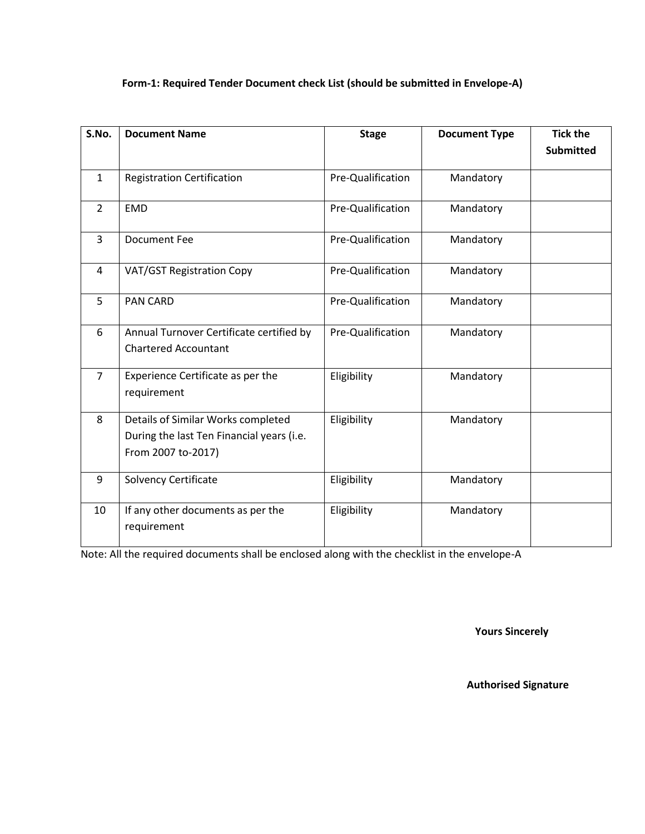## **Form-1: Required Tender Document check List (should be submitted in Envelope-A)**

| S.No.          | <b>Document Name</b>                                                                                  | <b>Stage</b>      | <b>Document Type</b> | <b>Tick the</b><br><b>Submitted</b> |
|----------------|-------------------------------------------------------------------------------------------------------|-------------------|----------------------|-------------------------------------|
| $\mathbf{1}$   | <b>Registration Certification</b>                                                                     | Pre-Qualification | Mandatory            |                                     |
| $\overline{2}$ | <b>EMD</b>                                                                                            | Pre-Qualification | Mandatory            |                                     |
| 3              | <b>Document Fee</b>                                                                                   | Pre-Qualification | Mandatory            |                                     |
| 4              | VAT/GST Registration Copy                                                                             | Pre-Qualification | Mandatory            |                                     |
| 5              | <b>PAN CARD</b>                                                                                       | Pre-Qualification | Mandatory            |                                     |
| 6              | Annual Turnover Certificate certified by<br><b>Chartered Accountant</b>                               | Pre-Qualification | Mandatory            |                                     |
| $\overline{7}$ | Experience Certificate as per the<br>requirement                                                      | Eligibility       | Mandatory            |                                     |
| 8              | Details of Similar Works completed<br>During the last Ten Financial years (i.e.<br>From 2007 to-2017) | Eligibility       | Mandatory            |                                     |
| 9              | Solvency Certificate                                                                                  | Eligibility       | Mandatory            |                                     |
| 10             | If any other documents as per the<br>requirement                                                      | Eligibility       | Mandatory            |                                     |

Note: All the required documents shall be enclosed along with the checklist in the envelope-A

**Yours Sincerely**

**Authorised Signature**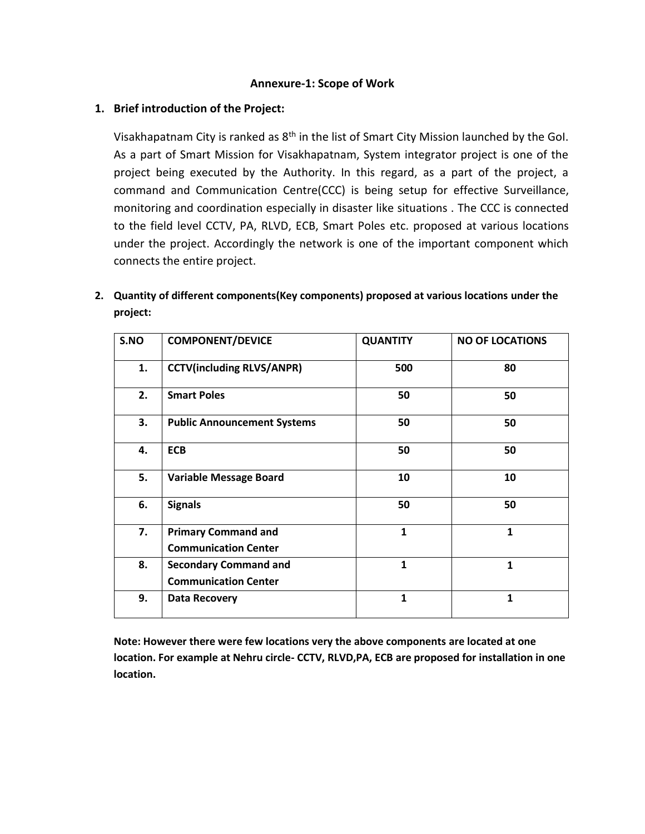#### **Annexure-1: Scope of Work**

#### **1. Brief introduction of the Project:**

**7. Primary Command and** 

**Communication Center**

**8. Secondary Command and Communication Center**

Visakhapatnam City is ranked as 8th in the list of Smart City Mission launched by the GoI. As a part of Smart Mission for Visakhapatnam, System integrator project is one of the project being executed by the Authority. In this regard, as a part of the project, a command and Communication Centre(CCC) is being setup for effective Surveillance, monitoring and coordination especially in disaster like situations . The CCC is connected to the field level CCTV, PA, RLVD, ECB, Smart Poles etc. proposed at various locations under the project. Accordingly the network is one of the important component which connects the entire project.

| project: |                                    |                 |                        |
|----------|------------------------------------|-----------------|------------------------|
| S.NO     | <b>COMPONENT/DEVICE</b>            | <b>QUANTITY</b> | <b>NO OF LOCATIONS</b> |
| 1.       | <b>CCTV(including RLVS/ANPR)</b>   | 500             | 80                     |
| 2.       | <b>Smart Poles</b>                 | 50              | 50                     |
| 3.       | <b>Public Announcement Systems</b> | 50              | 50                     |

**4. ECB 50 50**

**5. Variable Message Board 10 10**

**6. Signals 50 50**

**9. Data Recovery 1 1**

**1 1**

**1 1**

**2. Quantity of different components(Key components) proposed at various locations under the project:**

| Note: However there were few locations very the above components are located at one             |
|-------------------------------------------------------------------------------------------------|
| location. For example at Nehru circle- CCTV, RLVD, PA, ECB are proposed for installation in one |
| location.                                                                                       |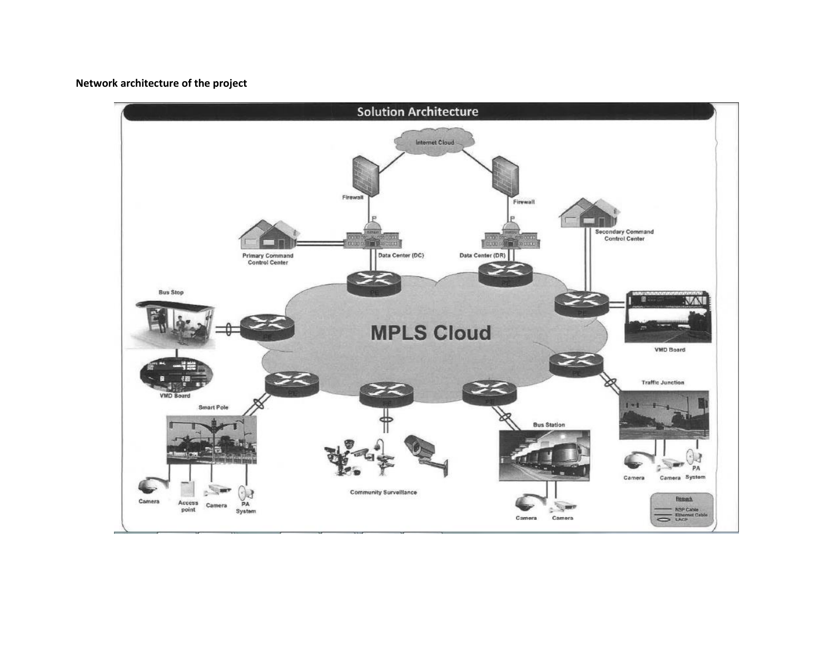### **Network architecture of the project**

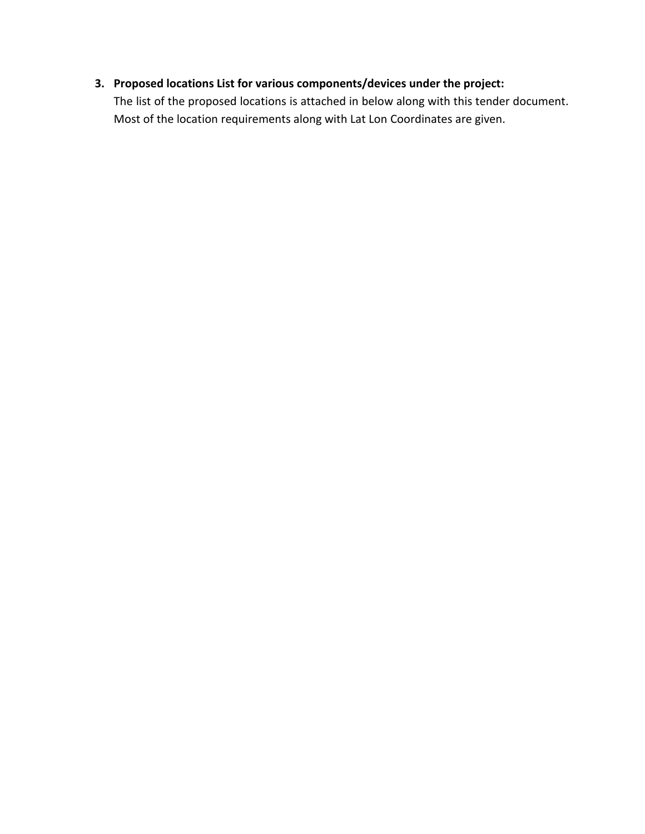# **3. Proposed locations List for various components/devices under the project:**

The list of the proposed locations is attached in below along with this tender document. Most of the location requirements along with Lat Lon Coordinates are given.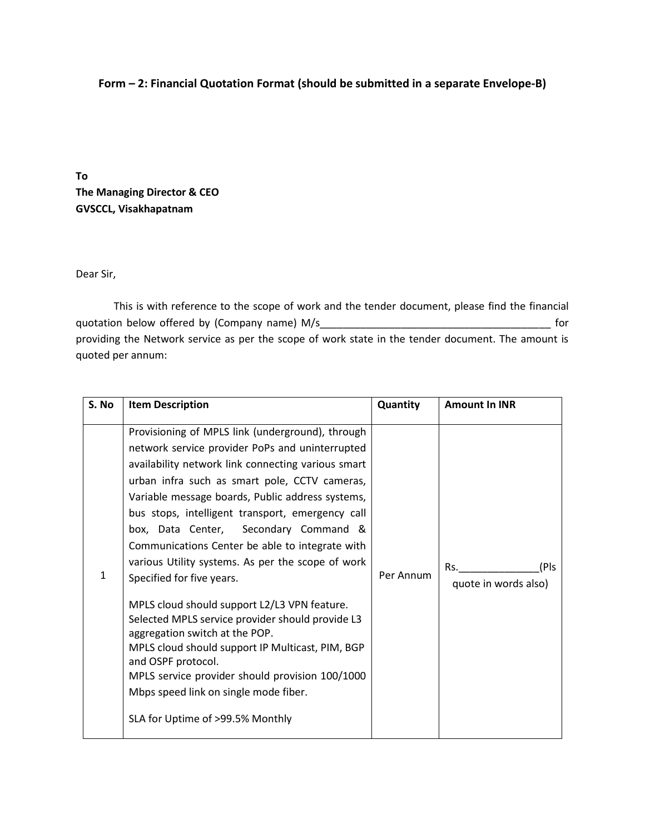## **Form – 2: Financial Quotation Format (should be submitted in a separate Envelope-B)**

**To The Managing Director & CEO GVSCCL, Visakhapatnam**

#### Dear Sir,

This is with reference to the scope of work and the tender document, please find the financial quotation below offered by (Company name) M/s\_\_\_\_\_\_\_\_\_\_\_\_\_\_\_\_\_\_\_\_\_\_\_\_\_\_\_\_\_\_\_\_\_\_\_\_\_\_\_\_ for providing the Network service as per the scope of work state in the tender document. The amount is quoted per annum:

| S. No        | <b>Item Description</b>                                                                                                                                                                                                                                                                                                                                                                                                                                                                                                                                                                                                                                                                                                                                                                                                                          | Quantity  | <b>Amount In INR</b>                |
|--------------|--------------------------------------------------------------------------------------------------------------------------------------------------------------------------------------------------------------------------------------------------------------------------------------------------------------------------------------------------------------------------------------------------------------------------------------------------------------------------------------------------------------------------------------------------------------------------------------------------------------------------------------------------------------------------------------------------------------------------------------------------------------------------------------------------------------------------------------------------|-----------|-------------------------------------|
| $\mathbf{1}$ | Provisioning of MPLS link (underground), through<br>network service provider PoPs and uninterrupted<br>availability network link connecting various smart<br>urban infra such as smart pole, CCTV cameras,<br>Variable message boards, Public address systems,<br>bus stops, intelligent transport, emergency call<br>box, Data Center, Secondary Command &<br>Communications Center be able to integrate with<br>various Utility systems. As per the scope of work<br>Specified for five years.<br>MPLS cloud should support L2/L3 VPN feature.<br>Selected MPLS service provider should provide L3<br>aggregation switch at the POP.<br>MPLS cloud should support IP Multicast, PIM, BGP<br>and OSPF protocol.<br>MPLS service provider should provision 100/1000<br>Mbps speed link on single mode fiber.<br>SLA for Uptime of >99.5% Monthly | Per Annum | (Pls<br>Rs.<br>quote in words also) |